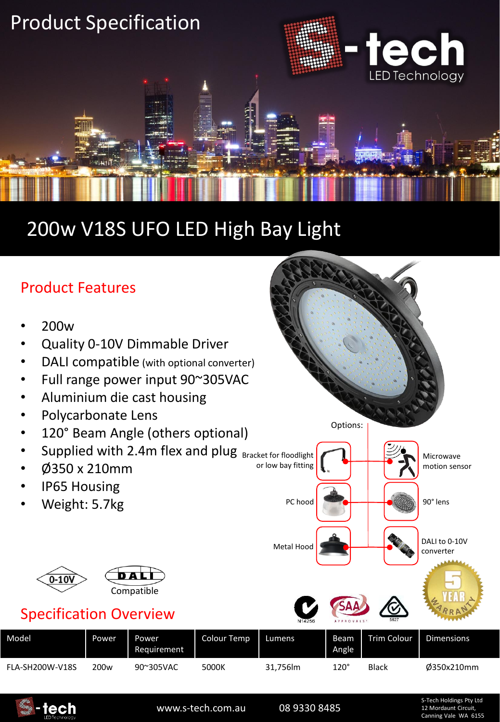

## 200w V18S UFO LED High Bay Light

### Product Features

- 200w
- Quality 0-10V Dimmable Driver
- DALI compatible (with optional converter)
- Full range power input 90~305VAC
- Aluminium die cast housing
- Polycarbonate Lens
- 120° Beam Angle (others optional)
- Supplied with 2.4m flex and plug Bracket for floodlight
- Ø350 x 210mm
- IP65 Housing
- Weight: 5.7kg



### Specification Overview

| Model           | <b>Power</b> | Power<br>Requirement | <b>Colour Temp</b> | Lumens  | Beam<br>Angle | Trim Colour  | <b>Dimensions</b> |
|-----------------|--------------|----------------------|--------------------|---------|---------------|--------------|-------------------|
| FLA-SH200W-V18S | 200w         | 90~305VAC            | 5000K              | 31,756m | $120^\circ$   | <b>Black</b> | 0350x210mm        |



www.s-tech.com.au 08 9330 8485

Options:

Metal Hood **DALI to 0-10V** 

or low bay fitting

PC hood

S-Tech Holdings Pty Ltd 12 Mordaunt Circuit, Canning Vale WA 6155

Microwave motion sensor

90° lens

converter